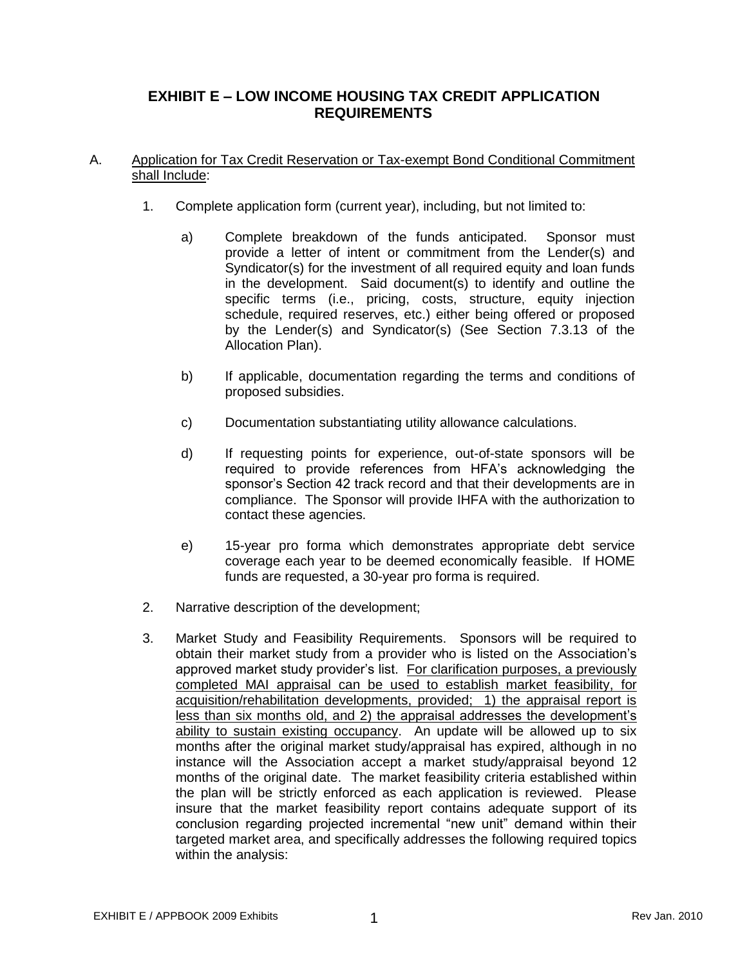# **EXHIBIT E – LOW INCOME HOUSING TAX CREDIT APPLICATION REQUIREMENTS**

## A. Application for Tax Credit Reservation or Tax-exempt Bond Conditional Commitment shall Include:

- 1. Complete application form (current year), including, but not limited to:
	- a) Complete breakdown of the funds anticipated. Sponsor must provide a letter of intent or commitment from the Lender(s) and Syndicator(s) for the investment of all required equity and loan funds in the development. Said document(s) to identify and outline the specific terms (i.e., pricing, costs, structure, equity injection schedule, required reserves, etc.) either being offered or proposed by the Lender(s) and Syndicator(s) (See Section 7.3.13 of the Allocation Plan).
	- b) If applicable, documentation regarding the terms and conditions of proposed subsidies.
	- c) Documentation substantiating utility allowance calculations.
	- d) If requesting points for experience, out-of-state sponsors will be required to provide references from HFA's acknowledging the sponsor's Section 42 track record and that their developments are in compliance. The Sponsor will provide IHFA with the authorization to contact these agencies.
	- e) 15-year pro forma which demonstrates appropriate debt service coverage each year to be deemed economically feasible. If HOME funds are requested, a 30-year pro forma is required.
- 2. Narrative description of the development;
- 3. Market Study and Feasibility Requirements. Sponsors will be required to obtain their market study from a provider who is listed on the Association's approved market study provider's list. For clarification purposes, a previously completed MAI appraisal can be used to establish market feasibility, for acquisition/rehabilitation developments, provided; 1) the appraisal report is less than six months old, and 2) the appraisal addresses the development's ability to sustain existing occupancy. An update will be allowed up to six months after the original market study/appraisal has expired, although in no instance will the Association accept a market study/appraisal beyond 12 months of the original date. The market feasibility criteria established within the plan will be strictly enforced as each application is reviewed. Please insure that the market feasibility report contains adequate support of its conclusion regarding projected incremental "new unit" demand within their targeted market area, and specifically addresses the following required topics within the analysis: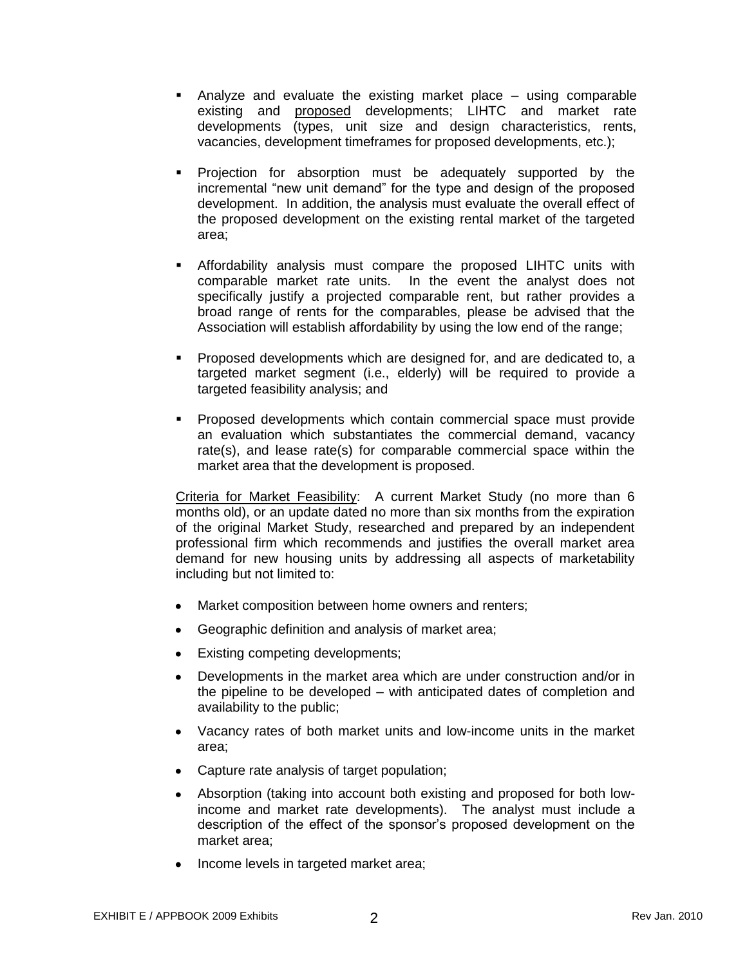- Analyze and evaluate the existing market place using comparable existing and proposed developments; LIHTC and market rate developments (types, unit size and design characteristics, rents, vacancies, development timeframes for proposed developments, etc.);
- Projection for absorption must be adequately supported by the incremental "new unit demand" for the type and design of the proposed development. In addition, the analysis must evaluate the overall effect of the proposed development on the existing rental market of the targeted area;
- Affordability analysis must compare the proposed LIHTC units with comparable market rate units. In the event the analyst does not specifically justify a projected comparable rent, but rather provides a broad range of rents for the comparables, please be advised that the Association will establish affordability by using the low end of the range;
- Proposed developments which are designed for, and are dedicated to, a targeted market segment (i.e., elderly) will be required to provide a targeted feasibility analysis; and
- **Proposed developments which contain commercial space must provide** an evaluation which substantiates the commercial demand, vacancy rate(s), and lease rate(s) for comparable commercial space within the market area that the development is proposed.

Criteria for Market Feasibility: A current Market Study (no more than 6 months old), or an update dated no more than six months from the expiration of the original Market Study, researched and prepared by an independent professional firm which recommends and justifies the overall market area demand for new housing units by addressing all aspects of marketability including but not limited to:

- Market composition between home owners and renters;  $\bullet$
- Geographic definition and analysis of market area;
- $\bullet$ Existing competing developments;
- Developments in the market area which are under construction and/or in  $\bullet$ the pipeline to be developed – with anticipated dates of completion and availability to the public;
- Vacancy rates of both market units and low-income units in the market area;
- Capture rate analysis of target population;
- Absorption (taking into account both existing and proposed for both lowincome and market rate developments). The analyst must include a description of the effect of the sponsor's proposed development on the market area;
- Income levels in targeted market area;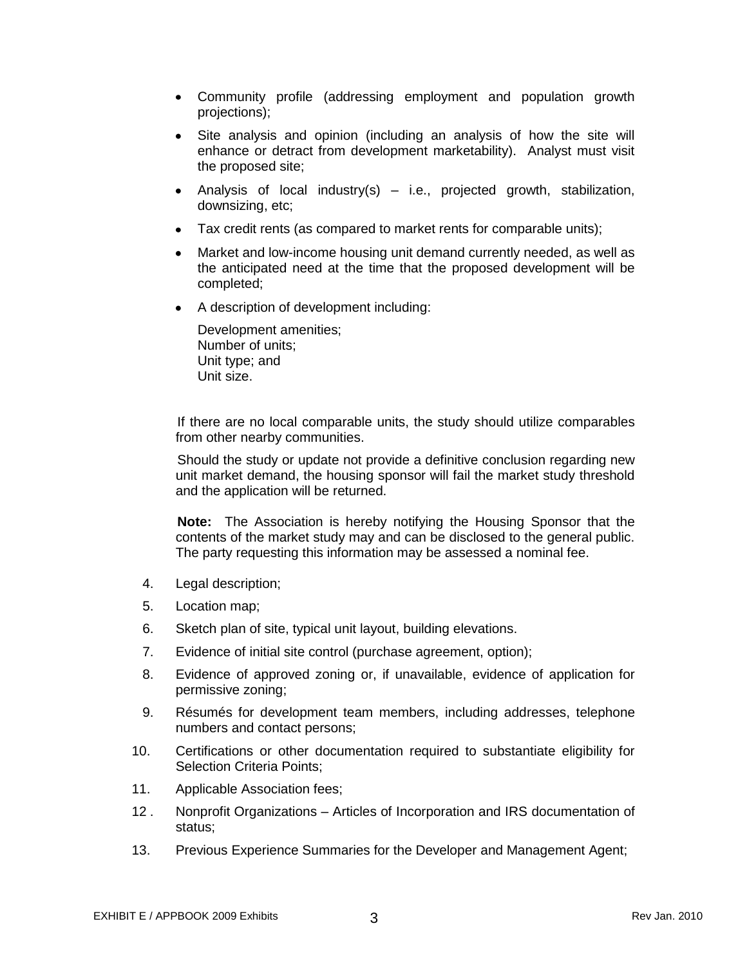- Community profile (addressing employment and population growth projections);
- Site analysis and opinion (including an analysis of how the site will  $\bullet$ enhance or detract from development marketability). Analyst must visit the proposed site;
- Analysis of local industry(s)  $-$  i.e., projected growth, stabilization, downsizing, etc;
- Tax credit rents (as compared to market rents for comparable units);
- Market and low-income housing unit demand currently needed, as well as  $\bullet$ the anticipated need at the time that the proposed development will be completed;
- A description of development including:

Development amenities; Number of units; Unit type; and Unit size.

If there are no local comparable units, the study should utilize comparables from other nearby communities.

Should the study or update not provide a definitive conclusion regarding new unit market demand, the housing sponsor will fail the market study threshold and the application will be returned.

**Note:** The Association is hereby notifying the Housing Sponsor that the contents of the market study may and can be disclosed to the general public. The party requesting this information may be assessed a nominal fee.

- 4. Legal description;
- 5. Location map;
- 6. Sketch plan of site, typical unit layout, building elevations.
- 7. Evidence of initial site control (purchase agreement, option);
- 8. Evidence of approved zoning or, if unavailable, evidence of application for permissive zoning;
- 9. Résumés for development team members, including addresses, telephone numbers and contact persons;
- 10. Certifications or other documentation required to substantiate eligibility for Selection Criteria Points;
- 11. Applicable Association fees;
- 12 . Nonprofit Organizations Articles of Incorporation and IRS documentation of status;
- 13. Previous Experience Summaries for the Developer and Management Agent;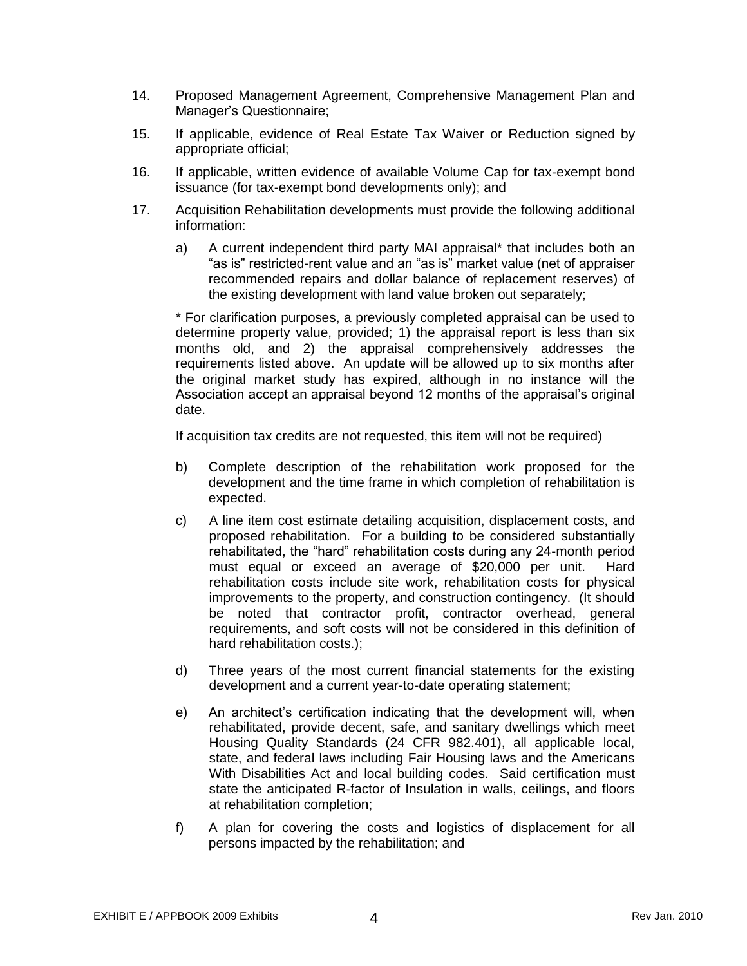- 14. Proposed Management Agreement, Comprehensive Management Plan and Manager's Questionnaire;
- 15. If applicable, evidence of Real Estate Tax Waiver or Reduction signed by appropriate official;
- 16. If applicable, written evidence of available Volume Cap for tax-exempt bond issuance (for tax-exempt bond developments only); and
- 17. Acquisition Rehabilitation developments must provide the following additional information:
	- a) A current independent third party MAI appraisal\* that includes both an "as is" restricted-rent value and an "as is" market value (net of appraiser recommended repairs and dollar balance of replacement reserves) of the existing development with land value broken out separately;

\* For clarification purposes, a previously completed appraisal can be used to determine property value, provided; 1) the appraisal report is less than six months old, and 2) the appraisal comprehensively addresses the requirements listed above. An update will be allowed up to six months after the original market study has expired, although in no instance will the Association accept an appraisal beyond 12 months of the appraisal's original date.

If acquisition tax credits are not requested, this item will not be required)

- b) Complete description of the rehabilitation work proposed for the development and the time frame in which completion of rehabilitation is expected.
- c) A line item cost estimate detailing acquisition, displacement costs, and proposed rehabilitation. For a building to be considered substantially rehabilitated, the "hard" rehabilitation costs during any 24-month period must equal or exceed an average of \$20,000 per unit. Hard rehabilitation costs include site work, rehabilitation costs for physical improvements to the property, and construction contingency. (It should be noted that contractor profit, contractor overhead, general requirements, and soft costs will not be considered in this definition of hard rehabilitation costs.);
- d) Three years of the most current financial statements for the existing development and a current year-to-date operating statement;
- e) An architect's certification indicating that the development will, when rehabilitated, provide decent, safe, and sanitary dwellings which meet Housing Quality Standards (24 CFR 982.401), all applicable local, state, and federal laws including Fair Housing laws and the Americans With Disabilities Act and local building codes. Said certification must state the anticipated R-factor of Insulation in walls, ceilings, and floors at rehabilitation completion;
- f) A plan for covering the costs and logistics of displacement for all persons impacted by the rehabilitation; and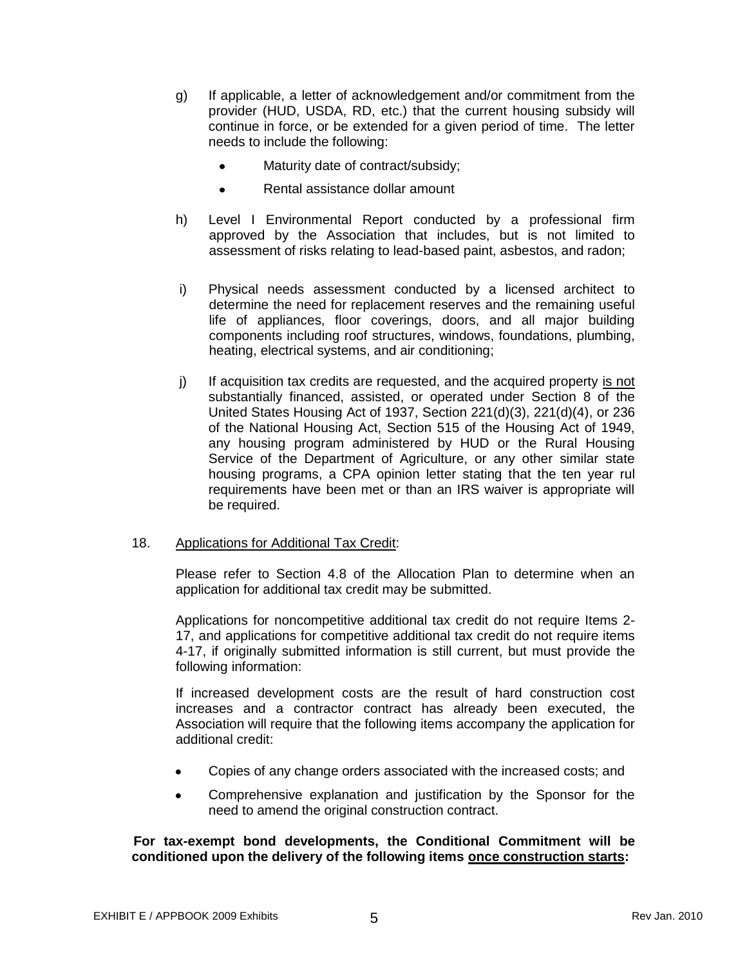- g) If applicable, a letter of acknowledgement and/or commitment from the provider (HUD, USDA, RD, etc.) that the current housing subsidy will continue in force, or be extended for a given period of time. The letter needs to include the following:
	- Maturity date of contract/subsidy;
	- Rental assistance dollar amount  $\bullet$
- h) Level I Environmental Report conducted by a professional firm approved by the Association that includes, but is not limited to assessment of risks relating to lead-based paint, asbestos, and radon;
- i) Physical needs assessment conducted by a licensed architect to determine the need for replacement reserves and the remaining useful life of appliances, floor coverings, doors, and all major building components including roof structures, windows, foundations, plumbing, heating, electrical systems, and air conditioning;
- $j$  If acquisition tax credits are requested, and the acquired property is not substantially financed, assisted, or operated under Section 8 of the United States Housing Act of 1937, Section 221(d)(3), 221(d)(4), or 236 of the National Housing Act, Section 515 of the Housing Act of 1949, any housing program administered by HUD or the Rural Housing Service of the Department of Agriculture, or any other similar state housing programs, a CPA opinion letter stating that the ten year rul requirements have been met or than an IRS waiver is appropriate will be required.

#### 18. Applications for Additional Tax Credit:

Please refer to Section 4.8 of the Allocation Plan to determine when an application for additional tax credit may be submitted.

Applications for noncompetitive additional tax credit do not require Items 2- 17, and applications for competitive additional tax credit do not require items 4-17, if originally submitted information is still current, but must provide the following information:

If increased development costs are the result of hard construction cost increases and a contractor contract has already been executed, the Association will require that the following items accompany the application for additional credit:

- Copies of any change orders associated with the increased costs; and  $\bullet$
- Comprehensive explanation and justification by the Sponsor for the  $\bullet$ need to amend the original construction contract.

### **For tax-exempt bond developments, the Conditional Commitment will be conditioned upon the delivery of the following items once construction starts:**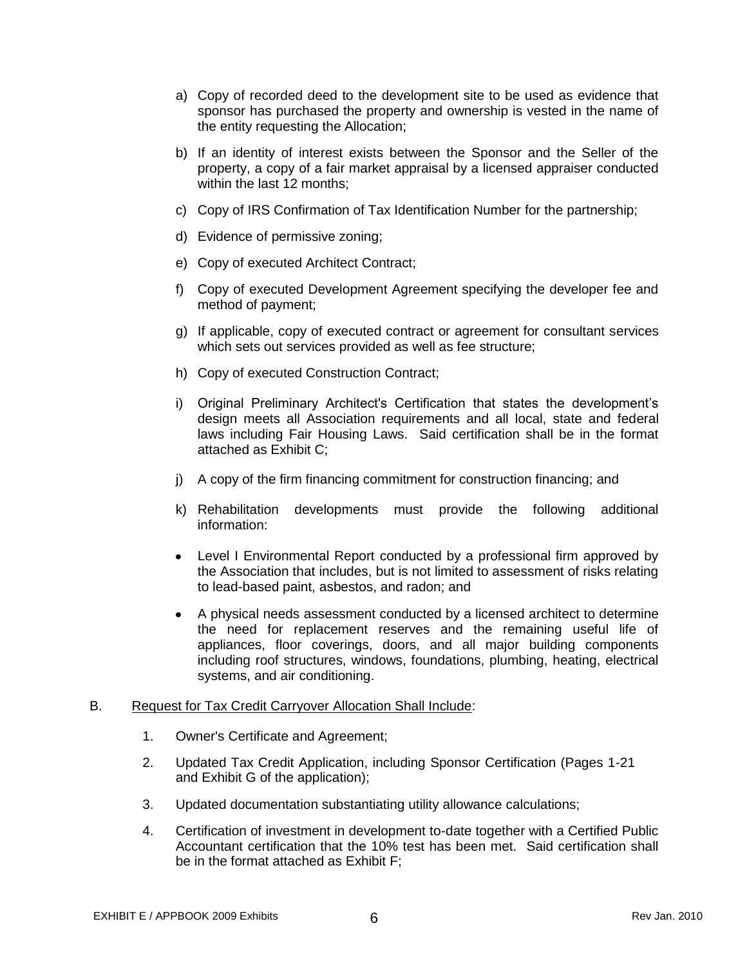- a) Copy of recorded deed to the development site to be used as evidence that sponsor has purchased the property and ownership is vested in the name of the entity requesting the Allocation;
- b) If an identity of interest exists between the Sponsor and the Seller of the property, a copy of a fair market appraisal by a licensed appraiser conducted within the last 12 months;
- c) Copy of IRS Confirmation of Tax Identification Number for the partnership;
- d) Evidence of permissive zoning;
- e) Copy of executed Architect Contract;
- f) Copy of executed Development Agreement specifying the developer fee and method of payment;
- g) If applicable, copy of executed contract or agreement for consultant services which sets out services provided as well as fee structure;
- h) Copy of executed Construction Contract;
- i) Original Preliminary Architect's Certification that states the development's design meets all Association requirements and all local, state and federal laws including Fair Housing Laws. Said certification shall be in the format attached as Exhibit C;
- j) A copy of the firm financing commitment for construction financing; and
- k) Rehabilitation developments must provide the following additional information:
- Level I Environmental Report conducted by a professional firm approved by  $\bullet$ the Association that includes, but is not limited to assessment of risks relating to lead-based paint, asbestos, and radon; and
- A physical needs assessment conducted by a licensed architect to determine the need for replacement reserves and the remaining useful life of appliances, floor coverings, doors, and all major building components including roof structures, windows, foundations, plumbing, heating, electrical systems, and air conditioning.

#### B. Request for Tax Credit Carryover Allocation Shall Include:

- 1. Owner's Certificate and Agreement;
- 2. Updated Tax Credit Application, including Sponsor Certification (Pages 1-21 and Exhibit G of the application);
- 3. Updated documentation substantiating utility allowance calculations;
- 4. Certification of investment in development to-date together with a Certified Public Accountant certification that the 10% test has been met. Said certification shall be in the format attached as Exhibit F;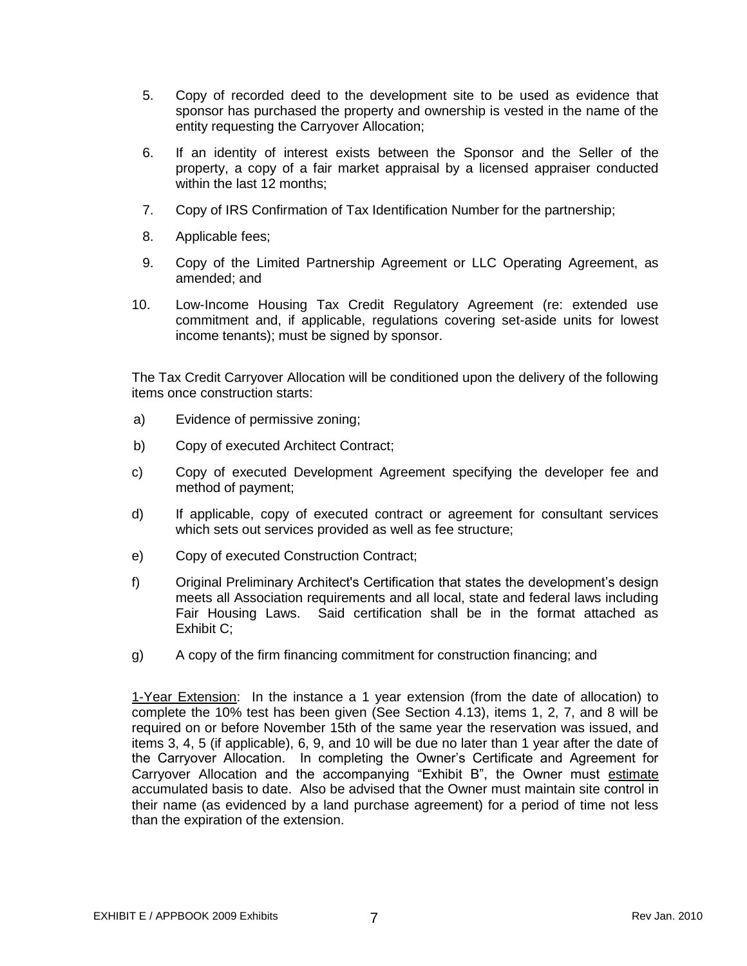- 5. Copy of recorded deed to the development site to be used as evidence that sponsor has purchased the property and ownership is vested in the name of the entity requesting the Carryover Allocation;
- 6. If an identity of interest exists between the Sponsor and the Seller of the property, a copy of a fair market appraisal by a licensed appraiser conducted within the last 12 months;
- 7. Copy of IRS Confirmation of Tax Identification Number for the partnership;
- 8. Applicable fees;
- 9. Copy of the Limited Partnership Agreement or LLC Operating Agreement, as amended; and
- 10. Low-Income Housing Tax Credit Regulatory Agreement (re: extended use commitment and, if applicable, regulations covering set-aside units for lowest income tenants); must be signed by sponsor.

The Tax Credit Carryover Allocation will be conditioned upon the delivery of the following items once construction starts:

- a) Evidence of permissive zoning;
- b) Copy of executed Architect Contract;
- c) Copy of executed Development Agreement specifying the developer fee and method of payment;
- d) If applicable, copy of executed contract or agreement for consultant services which sets out services provided as well as fee structure;
- e) Copy of executed Construction Contract;
- f) Original Preliminary Architect's Certification that states the development's design meets all Association requirements and all local, state and federal laws including Fair Housing Laws. Said certification shall be in the format attached as Exhibit C;
- g) A copy of the firm financing commitment for construction financing; and

1-Year Extension: In the instance a 1 year extension (from the date of allocation) to complete the 10% test has been given (See Section 4.13), items 1, 2, 7, and 8 will be required on or before November 15th of the same year the reservation was issued, and items 3, 4, 5 (if applicable), 6, 9, and 10 will be due no later than 1 year after the date of the Carryover Allocation. In completing the Owner's Certificate and Agreement for Carryover Allocation and the accompanying "Exhibit B", the Owner must estimate accumulated basis to date. Also be advised that the Owner must maintain site control in their name (as evidenced by a land purchase agreement) for a period of time not less than the expiration of the extension.